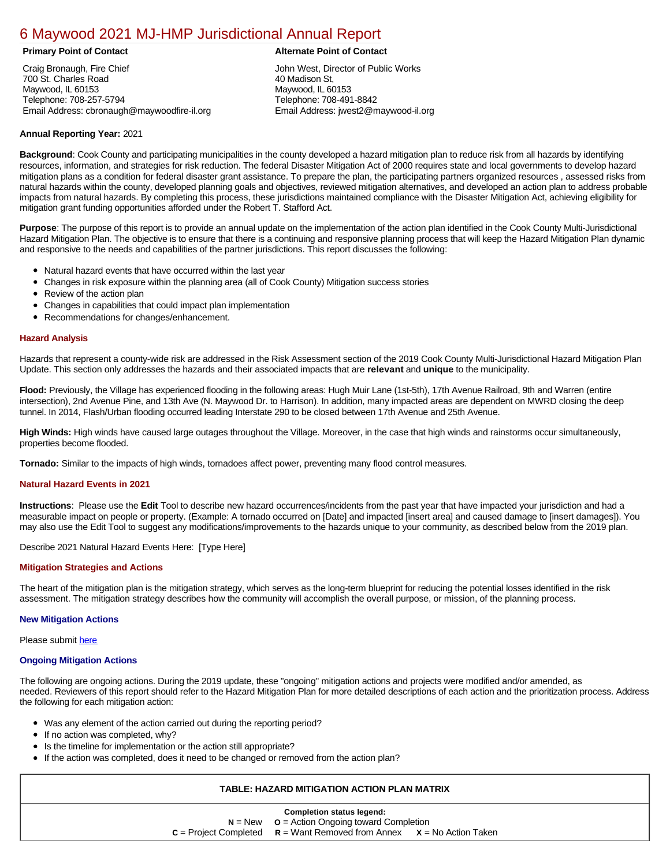# [6 Maywood 2021 MJ-HMP Jurisdictional Annual Report](https://maywood.isc-cemp.com/Cemp/Details?id=8322749)

Craig Bronaugh, Fire Chief 700 St. Charles Road Maywood, IL 60153 Telephone: 708-257-5794 Email Address: cbronaugh@maywoodfire-il.org

# **Primary Point of Contact Alternate Point of Contact**

John West, Director of Public Works 40 Madison St, Maywood, IL 60153 Telephone: 708-491-8842 Email Address: jwest2@maywood-il.org

# **Annual Reporting Year:** 2021

**Background**: Cook County and participating municipalities in the county developed a hazard mitigation plan to reduce risk from all hazards by identifying resources, information, and strategies for risk reduction. The federal Disaster Mitigation Act of 2000 requires state and local governments to develop hazard mitigation plans as a condition for federal disaster grant assistance. To prepare the plan, the participating partners organized resources , assessed risks from natural hazards within the county, developed planning goals and objectives, reviewed mitigation alternatives, and developed an action plan to address probable impacts from natural hazards. By completing this process, these jurisdictions maintained compliance with the Disaster Mitigation Act, achieving eligibility for mitigation grant funding opportunities afforded under the Robert T. Stafford Act.

**Purpose**: The purpose of this report is to provide an annual update on the implementation of the action plan identified in the Cook County Multi-Jurisdictional Hazard Mitigation Plan. The objective is to ensure that there is a continuing and responsive planning process that will keep the Hazard Mitigation Plan dynamic and responsive to the needs and capabilities of the partner jurisdictions. This report discusses the following:

- Natural hazard events that have occurred within the last year
- $\bullet$ Changes in risk exposure within the planning area (all of Cook County) Mitigation success stories
- Review of the action plan  $\bullet$
- $\bullet$ Changes in capabilities that could impact plan implementation
- Recommendations for changes/enhancement.  $\bullet$

### **Hazard Analysis**

Hazards that represent a county-wide risk are addressed in the Risk Assessment section of the 2019 Cook County Multi-Jurisdictional Hazard Mitigation Plan Update. This section only addresses the hazards and their associated impacts that are **relevant** and **unique** to the municipality.

**Flood:** Previously, the Village has experienced flooding in the following areas: Hugh Muir Lane (1st-5th), 17th Avenue Railroad, 9th and Warren (entire intersection), 2nd Avenue Pine, and 13th Ave (N. Maywood Dr. to Harrison). In addition, many impacted areas are dependent on MWRD closing the deep tunnel. In 2014, Flash/Urban flooding occurred leading Interstate 290 to be closed between 17th Avenue and 25th Avenue.

**High Winds:** High winds have caused large outages throughout the Village. Moreover, in the case that high winds and rainstorms occur simultaneously, properties become flooded.

**Tornado:** Similar to the impacts of high winds, tornadoes affect power, preventing many flood control measures.

#### **Natural Hazard Events in 2021**

**Instructions**: Please use the **Edit** Tool to describe new hazard occurrences/incidents from the past year that have impacted your jurisdiction and had a measurable impact on people or property. (Example: A tornado occurred on [Date] and impacted [insert area] and caused damage to [insert damages]). You may also use the Edit Tool to suggest any modifications/improvements to the hazards unique to your community, as described below from the 2019 plan.

#### Describe 2021 Natural Hazard Events Here: [Type Here]

#### **Mitigation Strategies and Actions**

The heart of the mitigation plan is the mitigation strategy, which serves as the long-term blueprint for reducing the potential losses identified in the risk assessment. The mitigation strategy describes how the community will accomplish the overall purpose, or mission, of the planning process.

#### **New Mitigation Actions**

Please submit [here](https://integratedsolutions.wufoo.com/forms/mg21jvf0jn639o/)

#### **Ongoing Mitigation Actions**

The following are ongoing actions. During the 2019 update, these "ongoing" mitigation actions and projects were modified and/or amended, as needed. Reviewers of this report should refer to the Hazard Mitigation Plan for more detailed descriptions of each action and the prioritization process. Address the following for each mitigation action:

- Was any element of the action carried out during the reporting period?
- If no action was completed, why?
- Is the timeline for implementation or the action still appropriate?
- If the action was completed, does it need to be changed or removed from the action plan?

# **TABLE: HAZARD MITIGATION ACTION PLAN MATRIX**

| Completion status legend:                        |                               |                       |  |  |  |
|--------------------------------------------------|-------------------------------|-----------------------|--|--|--|
| $N = New$ $Q = Action Ongoing toward Completion$ |                               |                       |  |  |  |
| $c =$ Project Completed                          | $R =$ Want Removed from Annex | $X = No$ Action Taken |  |  |  |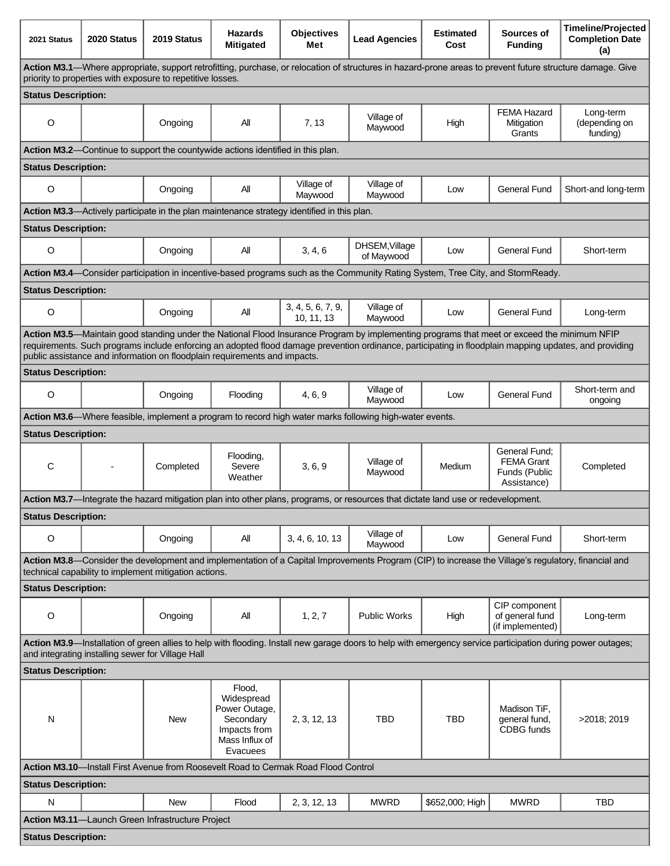| 2021 Status                                                                                                                                                                                                                                                                                                                                                                        | 2020 Status                                                                     | 2019 Status                                                                                | <b>Hazards</b><br><b>Mitigated</b>                                                               | <b>Objectives</b><br>Met        | <b>Lead Agencies</b>                                                                                                              | <b>Estimated</b><br>Cost | Sources of<br><b>Funding</b>                                       | <b>Timeline/Projected</b><br><b>Completion Date</b><br>(a) |
|------------------------------------------------------------------------------------------------------------------------------------------------------------------------------------------------------------------------------------------------------------------------------------------------------------------------------------------------------------------------------------|---------------------------------------------------------------------------------|--------------------------------------------------------------------------------------------|--------------------------------------------------------------------------------------------------|---------------------------------|-----------------------------------------------------------------------------------------------------------------------------------|--------------------------|--------------------------------------------------------------------|------------------------------------------------------------|
| Action M3.1—Where appropriate, support retrofitting, purchase, or relocation of structures in hazard-prone areas to prevent future structure damage. Give<br>priority to properties with exposure to repetitive losses.                                                                                                                                                            |                                                                                 |                                                                                            |                                                                                                  |                                 |                                                                                                                                   |                          |                                                                    |                                                            |
| <b>Status Description:</b>                                                                                                                                                                                                                                                                                                                                                         |                                                                                 |                                                                                            |                                                                                                  |                                 |                                                                                                                                   |                          |                                                                    |                                                            |
| $\circ$                                                                                                                                                                                                                                                                                                                                                                            |                                                                                 | Ongoing                                                                                    | All                                                                                              | 7, 13                           | Village of<br>Maywood                                                                                                             | High                     | <b>FEMA Hazard</b><br>Mitigation<br>Grants                         | Long-term<br>(depending on<br>funding)                     |
|                                                                                                                                                                                                                                                                                                                                                                                    | Action M3.2-Continue to support the countywide actions identified in this plan. |                                                                                            |                                                                                                  |                                 |                                                                                                                                   |                          |                                                                    |                                                            |
| <b>Status Description:</b>                                                                                                                                                                                                                                                                                                                                                         |                                                                                 |                                                                                            |                                                                                                  |                                 |                                                                                                                                   |                          |                                                                    |                                                            |
| O                                                                                                                                                                                                                                                                                                                                                                                  |                                                                                 | Ongoing                                                                                    | Αll                                                                                              | Village of<br>Maywood           | Village of<br>Maywood                                                                                                             | Low                      | <b>General Fund</b>                                                | Short-and long-term                                        |
|                                                                                                                                                                                                                                                                                                                                                                                    |                                                                                 | Action M3.3—Actively participate in the plan maintenance strategy identified in this plan. |                                                                                                  |                                 |                                                                                                                                   |                          |                                                                    |                                                            |
| <b>Status Description:</b>                                                                                                                                                                                                                                                                                                                                                         |                                                                                 |                                                                                            |                                                                                                  |                                 |                                                                                                                                   |                          |                                                                    |                                                            |
| $\circ$                                                                                                                                                                                                                                                                                                                                                                            |                                                                                 | Ongoing                                                                                    | Αll                                                                                              | 3, 4, 6                         | DHSEM, Village<br>of Maywood                                                                                                      | Low                      | <b>General Fund</b>                                                | Short-term                                                 |
|                                                                                                                                                                                                                                                                                                                                                                                    |                                                                                 |                                                                                            |                                                                                                  |                                 | Action M3.4—Consider participation in incentive-based programs such as the Community Rating System, Tree City, and StormReady.    |                          |                                                                    |                                                            |
| <b>Status Description:</b>                                                                                                                                                                                                                                                                                                                                                         |                                                                                 |                                                                                            |                                                                                                  |                                 |                                                                                                                                   |                          |                                                                    |                                                            |
| $\circ$                                                                                                                                                                                                                                                                                                                                                                            |                                                                                 | Ongoing                                                                                    | All                                                                                              | 3, 4, 5, 6, 7, 9,<br>10, 11, 13 | Village of<br>Maywood                                                                                                             | Low                      | <b>General Fund</b>                                                | Long-term                                                  |
| Action M3.5—Maintain good standing under the National Flood Insurance Program by implementing programs that meet or exceed the minimum NFIP<br>requirements. Such programs include enforcing an adopted flood damage prevention ordinance, participating in floodplain mapping updates, and providing<br>public assistance and information on floodplain requirements and impacts. |                                                                                 |                                                                                            |                                                                                                  |                                 |                                                                                                                                   |                          |                                                                    |                                                            |
| <b>Status Description:</b>                                                                                                                                                                                                                                                                                                                                                         |                                                                                 |                                                                                            |                                                                                                  |                                 |                                                                                                                                   |                          |                                                                    |                                                            |
| O                                                                                                                                                                                                                                                                                                                                                                                  |                                                                                 | Ongoing                                                                                    | Flooding                                                                                         | 4, 6, 9                         | Village of<br>Maywood                                                                                                             | Low                      | <b>General Fund</b>                                                | Short-term and<br>ongoing                                  |
|                                                                                                                                                                                                                                                                                                                                                                                    |                                                                                 |                                                                                            |                                                                                                  |                                 | Action M3.6—Where feasible, implement a program to record high water marks following high-water events.                           |                          |                                                                    |                                                            |
| <b>Status Description:</b>                                                                                                                                                                                                                                                                                                                                                         |                                                                                 |                                                                                            |                                                                                                  |                                 |                                                                                                                                   |                          |                                                                    |                                                            |
| C                                                                                                                                                                                                                                                                                                                                                                                  | $\blacksquare$                                                                  | Completed                                                                                  | Flooding,<br>Severe<br>Weather                                                                   | 3, 6, 9                         | Village of<br>Maywood                                                                                                             | Medium                   | General Fund:<br><b>FEMA Grant</b><br>Funds (Public<br>Assistance) | Completed                                                  |
|                                                                                                                                                                                                                                                                                                                                                                                    |                                                                                 |                                                                                            |                                                                                                  |                                 | Action M3.7-Integrate the hazard mitigation plan into other plans, programs, or resources that dictate land use or redevelopment. |                          |                                                                    |                                                            |
| <b>Status Description:</b>                                                                                                                                                                                                                                                                                                                                                         |                                                                                 |                                                                                            |                                                                                                  |                                 |                                                                                                                                   |                          |                                                                    |                                                            |
| O                                                                                                                                                                                                                                                                                                                                                                                  |                                                                                 | Ongoing                                                                                    | ΑIΙ                                                                                              | 3, 4, 6, 10, 13                 | Village of<br>Maywood                                                                                                             | Low                      | <b>General Fund</b>                                                | Short-term                                                 |
| Action M3.8—Consider the development and implementation of a Capital Improvements Program (CIP) to increase the Village's regulatory, financial and<br>technical capability to implement mitigation actions.                                                                                                                                                                       |                                                                                 |                                                                                            |                                                                                                  |                                 |                                                                                                                                   |                          |                                                                    |                                                            |
| <b>Status Description:</b>                                                                                                                                                                                                                                                                                                                                                         |                                                                                 |                                                                                            |                                                                                                  |                                 |                                                                                                                                   |                          |                                                                    |                                                            |
| O                                                                                                                                                                                                                                                                                                                                                                                  |                                                                                 | Ongoing                                                                                    | All                                                                                              | 1, 2, 7                         | <b>Public Works</b>                                                                                                               | High                     | CIP component<br>of general fund<br>(if implemented)               | Long-term                                                  |
| Action M3.9-Installation of green allies to help with flooding. Install new garage doors to help with emergency service participation during power outages;<br>and integrating installing sewer for Village Hall                                                                                                                                                                   |                                                                                 |                                                                                            |                                                                                                  |                                 |                                                                                                                                   |                          |                                                                    |                                                            |
| <b>Status Description:</b>                                                                                                                                                                                                                                                                                                                                                         |                                                                                 |                                                                                            |                                                                                                  |                                 |                                                                                                                                   |                          |                                                                    |                                                            |
| N                                                                                                                                                                                                                                                                                                                                                                                  |                                                                                 | <b>New</b>                                                                                 | Flood,<br>Widespread<br>Power Outage,<br>Secondary<br>Impacts from<br>Mass Influx of<br>Evacuees | 2, 3, 12, 13                    | <b>TBD</b>                                                                                                                        | <b>TBD</b>               | Madison TiF,<br>general fund,<br>CDBG funds                        | >2018; 2019                                                |
| Action M3.10—Install First Avenue from Roosevelt Road to Cermak Road Flood Control                                                                                                                                                                                                                                                                                                 |                                                                                 |                                                                                            |                                                                                                  |                                 |                                                                                                                                   |                          |                                                                    |                                                            |
| <b>Status Description:</b>                                                                                                                                                                                                                                                                                                                                                         |                                                                                 |                                                                                            |                                                                                                  |                                 |                                                                                                                                   |                          |                                                                    |                                                            |
| N                                                                                                                                                                                                                                                                                                                                                                                  |                                                                                 | <b>New</b>                                                                                 | Flood                                                                                            | 2, 3, 12, 13                    | <b>MWRD</b>                                                                                                                       | \$652,000; High          | <b>MWRD</b>                                                        | <b>TBD</b>                                                 |
|                                                                                                                                                                                                                                                                                                                                                                                    |                                                                                 | Action M3.11-Launch Green Infrastructure Project                                           |                                                                                                  |                                 |                                                                                                                                   |                          |                                                                    |                                                            |
| <b>Status Description:</b>                                                                                                                                                                                                                                                                                                                                                         |                                                                                 |                                                                                            |                                                                                                  |                                 |                                                                                                                                   |                          |                                                                    |                                                            |